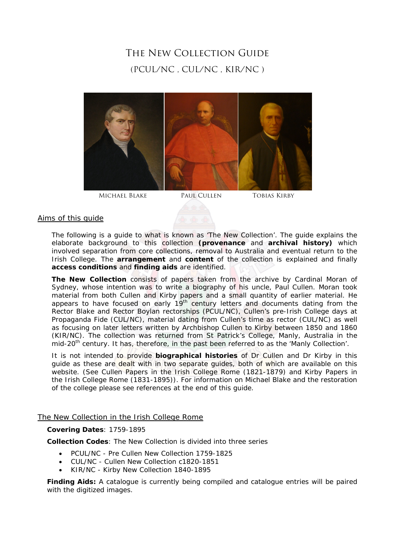# The New Collection Guide (PCUL/NC , CUL/NC , KIR/NC )



# Aims of this guide

The following is a guide to what is known as 'The New Collection'. The guide explains the elaborate background to this collection **(provenance** and **archival history)** which involved separation from core collections, removal to Australia and eventual return to the Irish College. The **arrangement** and **content** of the collection is explained and finally **access conditions** and **finding aids** are identified.

**The New Collection** consists of papers taken from the archive by Cardinal Moran of Sydney, whose intention was to write a biography of his uncle, Paul Cullen. Moran took material from both Cullen and Kirby papers and a small quantity of earlier material. He appears to have focused on early 19<sup>th</sup> century letters and documents dating from the Rector Blake and Rector Boylan rectorships (PCUL/NC), Cullen's pre-Irish College days at Propaganda Fide (CUL/NC), material dating from Cullen's time as rector (CUL/NC) as well as focusing on later letters written by Archbishop Cullen to Kirby between 1850 and 1860 (KIR/NC). The collection was returned from St Patrick's College, Manly, Australia in the mid-20<sup>th</sup> century. It has, therefore, in the past been referred to as the 'Manly Collection'.

It is not intended to provide **biographical histories** of Dr Cullen and Dr Kirby in this guide as these are dealt with in two separate guides, both of which are available on this website. (See *Cullen Papers in the Irish College Rome (1821-1879)* and *Kirby Papers in the Irish College Rome (1831-1895)*). For information on Michael Blake and the restoration of the college please see references at the end of this guide.

# The New Collection in the Irish College Rome

# **Covering Dates**: 1759-1895

**Collection Codes**: The New Collection is divided into three series

- PCUL/NC Pre Cullen New Collection 1759-1825
- CUL/NC Cullen New Collection c1820-1851
- KIR/NC Kirby New Collection 1840-1895

**Finding Aids:** A catalogue is currently being compiled and catalogue entries will be paired with the digitized images.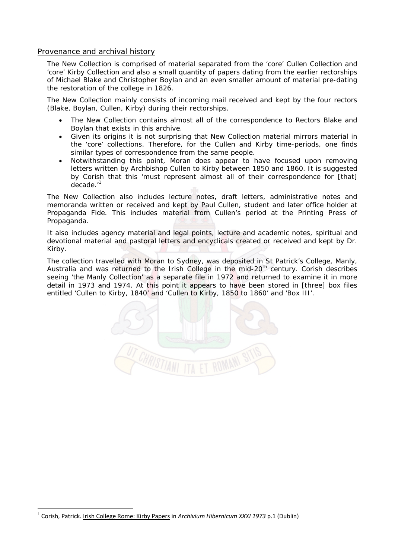# Provenance and archival history

The New Collection is comprised of material separated from the 'core' Cullen Collection and 'core' Kirby Collection and also a small quantity of papers dating from the earlier rectorships of Michael Blake and Christopher Boylan and an even smaller amount of material pre-dating the restoration of the college in 1826.

The New Collection mainly consists of incoming mail received and kept by the four rectors (Blake, Boylan, Cullen, Kirby) during their rectorships.

- The New Collection contains almost all of the correspondence to Rectors Blake and Boylan that exists in this archive.
- Given its origins it is not surprising that New Collection material *mirrors* material in the 'core' collections. Therefore, for the Cullen and Kirby time-periods, one finds similar types of correspondence from the same people.
- Notwithstanding this point, Moran does appear to have focused upon removing letters written by Archbishop Cullen to Kirby between 1850 and 1860. It is suggested by Corish that this 'must represent almost all of their correspondence for [that] decade.'1

The New Collection also includes lecture notes, draft letters, administrative notes and memoranda written or received and kept by Paul Cullen, student and later office holder at Propaganda Fide. This includes material from Cullen's period at the Printing Press of Propaganda.

It also includes agency material and legal points, lecture and academic notes, spiritual and devotional material and pastoral letters and encyclicals created or received and kept by Dr. Kirby.

The collection travelled with Moran to Sydney, was deposited in St Patrick's College, Manly, Australia and was returned to the Irish College in the mid-20<sup>th</sup> century. Corish describes seeing 'the Manly Collection' as a separate file in 1972 and returned to examine it in more detail in 1973 and 1974. At this point it appears to have been stored in [three] box files entitled 'Cullen to Kirby, 1840' and 'Cullen to Kirby, 1850 to 1860' and 'Box III'.



<sup>1</sup> Corish, Patrick. Irish College Rome: Kirby Papers in *Archivium Hibernicum XXXI 1973* p.1 (Dublin)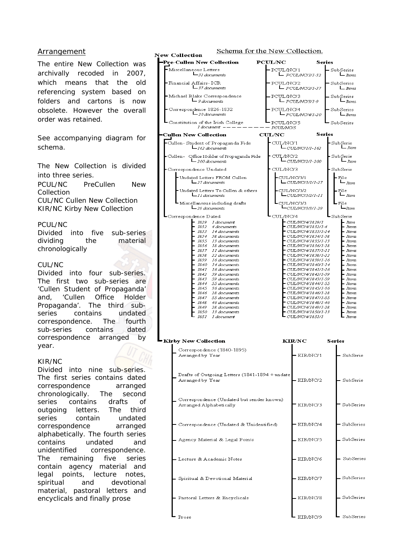# Arrangement

The entire New Collection was archivally recoded in 2007, which means that the old referencing system based on folders and cartons is now obsolete. However the overall order was retained.

See accompanying diagram for schema.

The New Collection is divided into three series. PCUL/NC PreCullen New Collection CUL/NC Cullen New Collection KIR/NC Kirby New Collection

PCUL/NC

Divided into five sub-series dividing the material chronologically

#### CUL/NC

Divided into four sub-series. The first two sub-series are 'Cullen Student of Propaganda' and, 'Cullen Office Holder Propaganda'. The third subseries contains undated correspondence. The fourth sub-series contains dated correspondence arranged by year.

#### KIR/NC

Divided into nine sub-series. The first series contains dated correspondence arranged chronologically. The second series contains drafts of outgoing letters. The third series contain undated correspondence arranged alphabetically. The fourth series contains undated and unidentified correspondence. The remaining five series contain agency material and legal points, lecture notes, spiritual and devotional material, pastoral letters and encyclicals and finally prose





ï

| irby New Collection                                                  | <b>KIR/NC</b> | <b>Series</b> |
|----------------------------------------------------------------------|---------------|---------------|
| Correspondence (1840-1895)<br>Arranged by Year                       | KIR/NC/1      | SubSerie      |
| Drafts of Outgoing Letters (1841-1894 + undate<br>Arranged by Year   | KIR/NC/2      | SubSerie      |
| Correspondence (Undated but sender known)<br>Arranged Alphabetically | KIR/NC/3      | SubSeries     |
| Correspondence (Undated & Unidentified)                              | KIR/NC/4      | SubSeries     |
| Agency Material & Legal Points                                       | KIR/NC/5      | SubSeries     |
| - Lecture & Academic Notes                                           | KIR/NC/6      | SubSeries     |
| Spiritual & Devotional Material                                      | KIR/NC/7      | SubSeries     |
| - Pastoral Letters & Encyclicals                                     | KIR/NC/8      | SubSeries     |
| Prose                                                                | KIR/NC/9      | SubSeries     |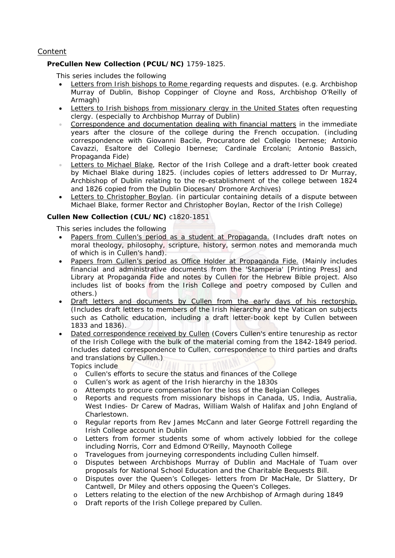# Content

# **PreCullen New Collection (PCUL/NC)** 1759-1825.

This series includes the following

- Letters from Irish bishops to Rome regarding requests and disputes. (e.g. Archbishop Murray of Dublin, Bishop Coppinger of Cloyne and Ross, Archbishop O'Reilly of Armagh)
- Letters to Irish bishops from missionary clergy in the United States often requesting clergy. (especially to Archbishop Murray of Dublin)
- Correspondence and documentation dealing with financial matters in the immediate years after the closure of the college during the French occupation. (including correspondence with Giovanni Bacile, Procuratore del Collegio Ibernese; Antonio Cavazzi, Esaltore del Collegio Ibernese; Cardinale Ercolani; Antonio Bassich, Propaganda Fide)
- Letters to Michael Blake, Rector of the Irish College and a draft-letter book created by Michael Blake during 1825. (includes copies of letters addressed to Dr Murray, Archbishop of Dublin relating to the re-establishment of the college between 1824 and 1826 copied from the Dublin Diocesan/ Dromore Archives)
- Letters to Christopher Boylan. (in particular containing details of a dispute between Michael Blake, former Rector and Christopher Boylan, Rector of the Irish College)

# **Cullen New Collection (CUL/NC)** c1820-1851

This series includes the following

- Papers from Cullen's period as a student at Propaganda. (Includes draft notes on moral theology, philosophy, scripture, history, sermon notes and memoranda much of which is in Cullen's hand).
- Papers from Cullen's period as Office Holder at Propaganda Fide. (Mainly includes financial and administrative documents from the 'Stamperia' [Printing Press] and Library at Propaganda Fide and notes by Cullen for the Hebrew Bible project. Also includes list of books from the Irish College and poetry composed by Cullen and others.)
- Draft letters and documents by Cullen from the early days of his rectorship. (Includes draft letters to members of the Irish hierarchy and the Vatican on subjects such as Catholic education, including a draft letter-book kept by Cullen between 1833 and 1836).
- Dated correspondence received by Cullen (Covers Cullen's entire tenureship as rector of the Irish College with the bulk of the material coming from the 1842-1849 period. Includes dated correspondence to Cullen, correspondence to third parties and drafts and translations by Cullen.)
	- Topics include
	- o Cullen's efforts to secure the status and finances of the College
	- o Cullen's work as agent of the Irish hierarchy in the 1830s
	- o Attempts to procure compensation for the loss of the Belgian Colleges
	- o Reports and requests from missionary bishops in Canada, US, India, Australia, West Indies- Dr Carew of Madras, William Walsh of Halifax and John England of Charlestown.
	- o Regular reports from Rev James McCann and later George Fottrell regarding the Irish College account in Dublin
	- o Letters from former students some of whom actively lobbied for the college including Norris, Corr and Edmond O'Reilly, Maynooth College
	- o Travelogues from journeying correspondents including Cullen himself.
	- o Disputes between Archbishops Murray of Dublin and MacHale of Tuam over proposals for National School Education and the Charitable Bequests Bill.
	- o Disputes over the Queen's Colleges- letters from Dr MacHale, Dr Slattery, Dr Cantwell, Dr Miley and others opposing the Queen's Colleges.
	- o Letters relating to the election of the new Archbishop of Armagh during 1849
	- o Draft reports of the Irish College prepared by Cullen.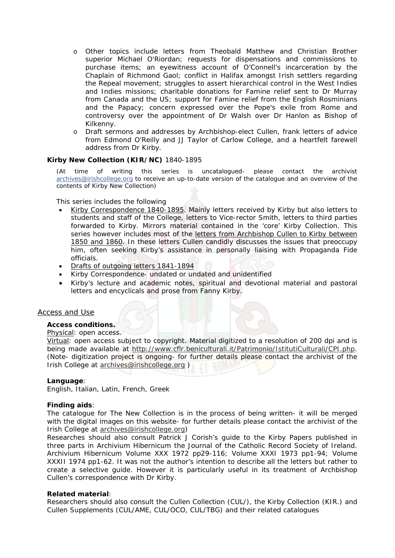- o Other topics include letters from Theobald Matthew and Christian Brother superior Michael O'Riordan; requests for dispensations and commissions to purchase items; an eyewitness account of O'Connell's incarceration by the Chaplain of Richmond Gaol; conflict in Halifax amongst Irish settlers regarding the Repeal movement; struggles to assert hierarchical control in the West Indies and Indies missions; charitable donations for Famine relief sent to Dr Murray from Canada and the US; support for Famine relief from the English Rosminians and the Papacy; concern expressed over the Pope's exile from Rome and controversy over the appointment of Dr Walsh over Dr Hanlon as Bishop of Kilkenny.
- o Draft sermons and addresses by Archbishop-elect Cullen, frank letters of advice from Edmond O'Reilly and JJ Taylor of Carlow College, and a heartfelt farewell address from Dr Kirby.

# **Kirby New Collection (KIR/NC)** 1840-1895

*(At time of writing this series is uncatalogued- please contact the archivist archives@irishcollege.org to receive an up-to-date version of the catalogue and an overview of the contents of Kirby New Collection)* 

This series includes the following

- Kirby Correspondence 1840-1895. Mainly letters received by Kirby but also letters to students and staff of the College, letters to Vice-rector Smith, letters to third parties forwarded to Kirby. *Mirrors* material contained in the 'core' Kirby Collection. This series however includes most of the letters from Archbishop Cullen to Kirby between 1850 and 1860. In these letters Cullen candidly discusses the issues that preoccupy him, often seeking Kirby's assistance in personally liaising with Propaganda Fide officials.
- Drafts of outgoing letters 1841-1894
- Kirby Correspondence- undated or undated and unidentified
- Kirby's lecture and academic notes, spiritual and devotional material and pastoral letters and encyclicals and prose from Fanny Kirby.

#### Access and Use

# **Access conditions.**

#### Physical: open access.

Virtual: open access subject to copyright. Material digitized to a resolution of 200 dpi and is being made available at http://www.cflr.beniculturali.it/Patrimonio/IstitutiCulturali/CPI.php. (Note- digitization project is ongoing- for further details please contact the archivist of the Irish College at archives@irishcollege.org )

#### **Language**:

English, Italian, Latin, French, Greek

#### **Finding aids**:

The catalogue for The New Collection is in the process of being written- it will be merged with the digital images on this website- for further details please contact the archivist of the Irish College at archives@irishcollege.org)

Researches should also consult Patrick J Corish's guide to the Kirby Papers published in three parts in Archivium Hibernicum the Journal of the Catholic Record Society of Ireland. Archivium Hibernicum Volume XXX 1972 pp29-116; Volume XXXI 1973 pp1-94; Volume XXXII 1974 pp1-62. It was not the author's intention to describe all the letters but rather to create a selective guide. However it is particularly useful in its treatment of Archbishop Cullen's correspondence with Dr Kirby.

#### **Related material**:

Researchers should also consult the Cullen Collection (CUL/), the Kirby Collection (KIR.) and Cullen Supplements (CUL/AME, CUL/OCO, CUL/TBG) and their related catalogues